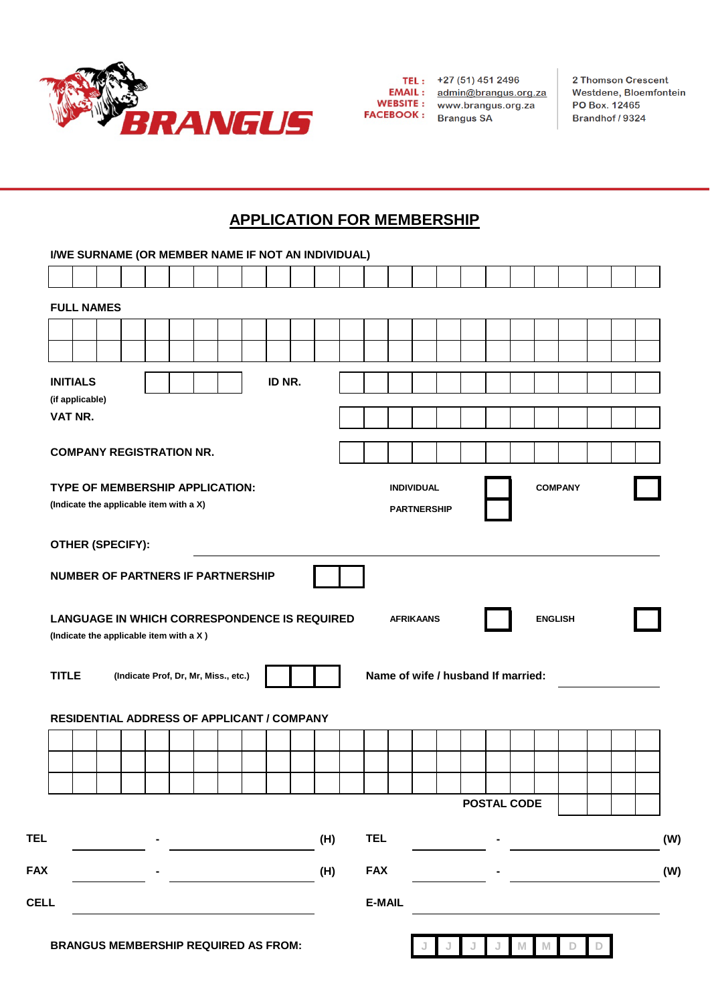

**FACEBOOK**: Brangus SA

TEL: +27 (51) 451 2496<br>EMAIL: admin@brangus.org.za<br>WEBSITE: www.brangus.org.za

2 Thomson Crescent Westdene, Bloemfontein PO Box. 12465 Brandhof / 9324

# **APPLICATION FOR MEMBERSHIP**

| <b>FULL NAMES</b><br><b>INITIALS</b><br>ID NR.<br>(if applicable)<br>VAT NR.<br><b>COMPANY REGISTRATION NR.</b><br><b>INDIVIDUAL</b><br><b>COMPANY</b><br>(Indicate the applicable item with a X)<br><b>PARTNERSHIP</b><br>OTHER (SPECIFY):<br><b>NUMBER OF PARTNERS IF PARTNERSHIP</b><br><b>LANGUAGE IN WHICH CORRESPONDENCE IS REQUIRED</b><br><b>AFRIKAANS</b><br><b>ENGLISH</b><br>(Indicate the applicable item with a X)<br>Name of wife / husband If married:<br>(Indicate Prof, Dr, Mr, Miss., etc.)<br>RESIDENTIAL ADDRESS OF APPLICANT / COMPANY<br><b>POSTAL CODE</b><br><b>TEL</b><br>(H)<br><b>FAX</b><br>(H)<br>E-MAIL | I/WE SURNAME (OR MEMBER NAME IF NOT AN INDIVIDUAL) |  |  |  |  |  |  |  |  |  |  |  |  |  |  |  |  |
|---------------------------------------------------------------------------------------------------------------------------------------------------------------------------------------------------------------------------------------------------------------------------------------------------------------------------------------------------------------------------------------------------------------------------------------------------------------------------------------------------------------------------------------------------------------------------------------------------------------------------------------|----------------------------------------------------|--|--|--|--|--|--|--|--|--|--|--|--|--|--|--|--|
|                                                                                                                                                                                                                                                                                                                                                                                                                                                                                                                                                                                                                                       |                                                    |  |  |  |  |  |  |  |  |  |  |  |  |  |  |  |  |
|                                                                                                                                                                                                                                                                                                                                                                                                                                                                                                                                                                                                                                       |                                                    |  |  |  |  |  |  |  |  |  |  |  |  |  |  |  |  |
|                                                                                                                                                                                                                                                                                                                                                                                                                                                                                                                                                                                                                                       |                                                    |  |  |  |  |  |  |  |  |  |  |  |  |  |  |  |  |
|                                                                                                                                                                                                                                                                                                                                                                                                                                                                                                                                                                                                                                       |                                                    |  |  |  |  |  |  |  |  |  |  |  |  |  |  |  |  |
|                                                                                                                                                                                                                                                                                                                                                                                                                                                                                                                                                                                                                                       |                                                    |  |  |  |  |  |  |  |  |  |  |  |  |  |  |  |  |
|                                                                                                                                                                                                                                                                                                                                                                                                                                                                                                                                                                                                                                       |                                                    |  |  |  |  |  |  |  |  |  |  |  |  |  |  |  |  |
|                                                                                                                                                                                                                                                                                                                                                                                                                                                                                                                                                                                                                                       |                                                    |  |  |  |  |  |  |  |  |  |  |  |  |  |  |  |  |
|                                                                                                                                                                                                                                                                                                                                                                                                                                                                                                                                                                                                                                       |                                                    |  |  |  |  |  |  |  |  |  |  |  |  |  |  |  |  |
|                                                                                                                                                                                                                                                                                                                                                                                                                                                                                                                                                                                                                                       |                                                    |  |  |  |  |  |  |  |  |  |  |  |  |  |  |  |  |
|                                                                                                                                                                                                                                                                                                                                                                                                                                                                                                                                                                                                                                       |                                                    |  |  |  |  |  |  |  |  |  |  |  |  |  |  |  |  |
|                                                                                                                                                                                                                                                                                                                                                                                                                                                                                                                                                                                                                                       | TYPE OF MEMBERSHIP APPLICATION:                    |  |  |  |  |  |  |  |  |  |  |  |  |  |  |  |  |
|                                                                                                                                                                                                                                                                                                                                                                                                                                                                                                                                                                                                                                       |                                                    |  |  |  |  |  |  |  |  |  |  |  |  |  |  |  |  |
|                                                                                                                                                                                                                                                                                                                                                                                                                                                                                                                                                                                                                                       |                                                    |  |  |  |  |  |  |  |  |  |  |  |  |  |  |  |  |
|                                                                                                                                                                                                                                                                                                                                                                                                                                                                                                                                                                                                                                       |                                                    |  |  |  |  |  |  |  |  |  |  |  |  |  |  |  |  |
|                                                                                                                                                                                                                                                                                                                                                                                                                                                                                                                                                                                                                                       |                                                    |  |  |  |  |  |  |  |  |  |  |  |  |  |  |  |  |
|                                                                                                                                                                                                                                                                                                                                                                                                                                                                                                                                                                                                                                       |                                                    |  |  |  |  |  |  |  |  |  |  |  |  |  |  |  |  |
|                                                                                                                                                                                                                                                                                                                                                                                                                                                                                                                                                                                                                                       |                                                    |  |  |  |  |  |  |  |  |  |  |  |  |  |  |  |  |
|                                                                                                                                                                                                                                                                                                                                                                                                                                                                                                                                                                                                                                       |                                                    |  |  |  |  |  |  |  |  |  |  |  |  |  |  |  |  |
|                                                                                                                                                                                                                                                                                                                                                                                                                                                                                                                                                                                                                                       |                                                    |  |  |  |  |  |  |  |  |  |  |  |  |  |  |  |  |
|                                                                                                                                                                                                                                                                                                                                                                                                                                                                                                                                                                                                                                       | <b>TITLE</b>                                       |  |  |  |  |  |  |  |  |  |  |  |  |  |  |  |  |
|                                                                                                                                                                                                                                                                                                                                                                                                                                                                                                                                                                                                                                       |                                                    |  |  |  |  |  |  |  |  |  |  |  |  |  |  |  |  |
|                                                                                                                                                                                                                                                                                                                                                                                                                                                                                                                                                                                                                                       |                                                    |  |  |  |  |  |  |  |  |  |  |  |  |  |  |  |  |
|                                                                                                                                                                                                                                                                                                                                                                                                                                                                                                                                                                                                                                       |                                                    |  |  |  |  |  |  |  |  |  |  |  |  |  |  |  |  |
|                                                                                                                                                                                                                                                                                                                                                                                                                                                                                                                                                                                                                                       |                                                    |  |  |  |  |  |  |  |  |  |  |  |  |  |  |  |  |
|                                                                                                                                                                                                                                                                                                                                                                                                                                                                                                                                                                                                                                       |                                                    |  |  |  |  |  |  |  |  |  |  |  |  |  |  |  |  |
|                                                                                                                                                                                                                                                                                                                                                                                                                                                                                                                                                                                                                                       |                                                    |  |  |  |  |  |  |  |  |  |  |  |  |  |  |  |  |
|                                                                                                                                                                                                                                                                                                                                                                                                                                                                                                                                                                                                                                       |                                                    |  |  |  |  |  |  |  |  |  |  |  |  |  |  |  |  |
|                                                                                                                                                                                                                                                                                                                                                                                                                                                                                                                                                                                                                                       |                                                    |  |  |  |  |  |  |  |  |  |  |  |  |  |  |  |  |
|                                                                                                                                                                                                                                                                                                                                                                                                                                                                                                                                                                                                                                       | <b>FAX</b>                                         |  |  |  |  |  |  |  |  |  |  |  |  |  |  |  |  |
|                                                                                                                                                                                                                                                                                                                                                                                                                                                                                                                                                                                                                                       |                                                    |  |  |  |  |  |  |  |  |  |  |  |  |  |  |  |  |
|                                                                                                                                                                                                                                                                                                                                                                                                                                                                                                                                                                                                                                       | <b>CELL</b>                                        |  |  |  |  |  |  |  |  |  |  |  |  |  |  |  |  |
|                                                                                                                                                                                                                                                                                                                                                                                                                                                                                                                                                                                                                                       |                                                    |  |  |  |  |  |  |  |  |  |  |  |  |  |  |  |  |
| <b>BRANGUS MEMBERSHIP REQUIRED AS FROM:</b>                                                                                                                                                                                                                                                                                                                                                                                                                                                                                                                                                                                           |                                                    |  |  |  |  |  |  |  |  |  |  |  |  |  |  |  |  |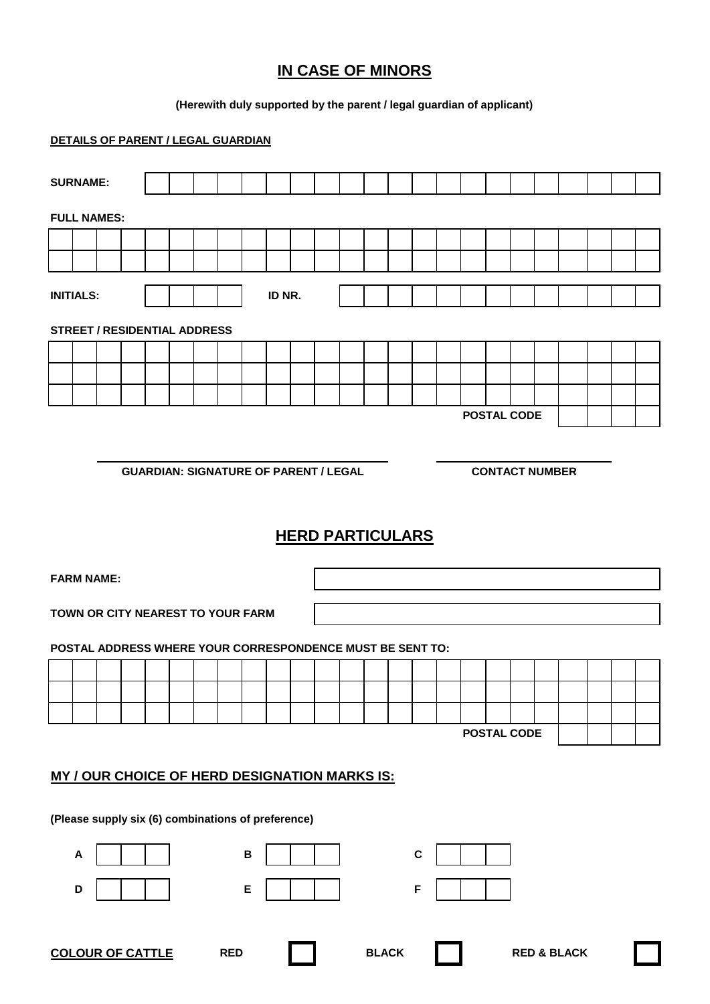# **IN CASE OF MINORS**

### **(Herewith duly supported by the parent / legal guardian of applicant)**

### **DETAILS OF PARENT / LEGAL GUARDIAN**

| <b>SURNAME:</b>  |                                                      |                                                           |  |                         |  |  |            |   |        |  |                                              |  |              |  |   |                    |                       |  |                        |  |  |
|------------------|------------------------------------------------------|-----------------------------------------------------------|--|-------------------------|--|--|------------|---|--------|--|----------------------------------------------|--|--------------|--|---|--------------------|-----------------------|--|------------------------|--|--|
|                  | <b>FULL NAMES:</b>                                   |                                                           |  |                         |  |  |            |   |        |  |                                              |  |              |  |   |                    |                       |  |                        |  |  |
|                  |                                                      |                                                           |  |                         |  |  |            |   |        |  |                                              |  |              |  |   |                    |                       |  |                        |  |  |
|                  |                                                      |                                                           |  |                         |  |  |            |   |        |  |                                              |  |              |  |   |                    |                       |  |                        |  |  |
| <b>INITIALS:</b> |                                                      |                                                           |  |                         |  |  |            |   | ID NR. |  |                                              |  |              |  |   |                    |                       |  |                        |  |  |
|                  |                                                      | <b>STREET / RESIDENTIAL ADDRESS</b>                       |  |                         |  |  |            |   |        |  |                                              |  |              |  |   |                    |                       |  |                        |  |  |
|                  |                                                      |                                                           |  |                         |  |  |            |   |        |  |                                              |  |              |  |   |                    |                       |  |                        |  |  |
|                  |                                                      |                                                           |  |                         |  |  |            |   |        |  |                                              |  |              |  |   |                    |                       |  |                        |  |  |
|                  |                                                      |                                                           |  |                         |  |  |            |   |        |  |                                              |  |              |  |   |                    |                       |  |                        |  |  |
|                  |                                                      |                                                           |  |                         |  |  |            |   |        |  |                                              |  |              |  |   | <b>POSTAL CODE</b> |                       |  |                        |  |  |
|                  |                                                      |                                                           |  |                         |  |  |            |   |        |  |                                              |  |              |  |   |                    |                       |  |                        |  |  |
|                  |                                                      |                                                           |  |                         |  |  |            |   |        |  | <b>GUARDIAN: SIGNATURE OF PARENT / LEGAL</b> |  |              |  |   |                    | <b>CONTACT NUMBER</b> |  |                        |  |  |
|                  |                                                      |                                                           |  |                         |  |  |            |   |        |  |                                              |  |              |  |   |                    |                       |  |                        |  |  |
|                  |                                                      |                                                           |  |                         |  |  |            |   |        |  |                                              |  |              |  |   |                    |                       |  |                        |  |  |
|                  |                                                      |                                                           |  |                         |  |  |            |   |        |  |                                              |  |              |  |   |                    |                       |  |                        |  |  |
|                  | <b>HERD PARTICULARS</b>                              |                                                           |  |                         |  |  |            |   |        |  |                                              |  |              |  |   |                    |                       |  |                        |  |  |
|                  | <b>FARM NAME:</b>                                    |                                                           |  |                         |  |  |            |   |        |  |                                              |  |              |  |   |                    |                       |  |                        |  |  |
|                  |                                                      |                                                           |  |                         |  |  |            |   |        |  |                                              |  |              |  |   |                    |                       |  |                        |  |  |
|                  |                                                      | TOWN OR CITY NEAREST TO YOUR FARM                         |  |                         |  |  |            |   |        |  |                                              |  |              |  |   |                    |                       |  |                        |  |  |
|                  |                                                      | POSTAL ADDRESS WHERE YOUR CORRESPONDENCE MUST BE SENT TO: |  |                         |  |  |            |   |        |  |                                              |  |              |  |   |                    |                       |  |                        |  |  |
|                  |                                                      |                                                           |  |                         |  |  |            |   |        |  |                                              |  |              |  |   |                    |                       |  |                        |  |  |
|                  |                                                      |                                                           |  |                         |  |  |            |   |        |  |                                              |  |              |  |   |                    |                       |  |                        |  |  |
|                  |                                                      |                                                           |  |                         |  |  |            |   |        |  |                                              |  |              |  |   |                    |                       |  |                        |  |  |
|                  |                                                      |                                                           |  |                         |  |  |            |   |        |  |                                              |  |              |  |   | <b>POSTAL CODE</b> |                       |  |                        |  |  |
|                  |                                                      |                                                           |  |                         |  |  |            |   |        |  |                                              |  |              |  |   |                    |                       |  |                        |  |  |
|                  |                                                      |                                                           |  |                         |  |  |            |   |        |  |                                              |  |              |  |   |                    |                       |  |                        |  |  |
|                  | <b>MY / OUR CHOICE OF HERD DESIGNATION MARKS IS:</b> |                                                           |  |                         |  |  |            |   |        |  |                                              |  |              |  |   |                    |                       |  |                        |  |  |
|                  | (Please supply six (6) combinations of preference)   |                                                           |  |                         |  |  |            |   |        |  |                                              |  |              |  |   |                    |                       |  |                        |  |  |
|                  | A                                                    |                                                           |  |                         |  |  |            | B |        |  |                                              |  |              |  | C |                    |                       |  |                        |  |  |
|                  | D                                                    |                                                           |  |                         |  |  |            | E |        |  |                                              |  |              |  | F |                    |                       |  |                        |  |  |
|                  |                                                      |                                                           |  |                         |  |  |            |   |        |  |                                              |  |              |  |   |                    |                       |  |                        |  |  |
|                  |                                                      |                                                           |  | <b>COLOUR OF CATTLE</b> |  |  | <b>RED</b> |   |        |  |                                              |  | <b>BLACK</b> |  |   |                    |                       |  | <b>RED &amp; BLACK</b> |  |  |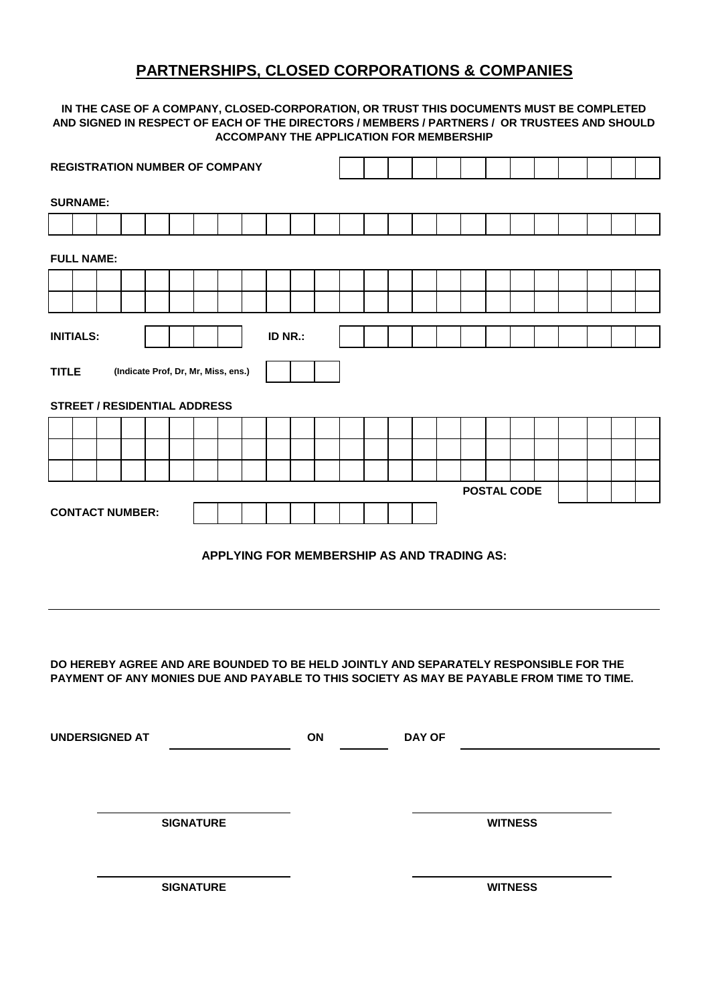### **PARTNERSHIPS, CLOSED CORPORATIONS & COMPANIES**

#### **IN THE CASE OF A COMPANY, CLOSED-CORPORATION, OR TRUST THIS DOCUMENTS MUST BE COMPLETED AND SIGNED IN RESPECT OF EACH OF THE DIRECTORS / MEMBERS / PARTNERS / OR TRUSTEES AND SHOULD ACCOMPANY THE APPLICATION FOR MEMBERSHIP**

| <b>REGISTRATION NUMBER OF COMPANY</b> |                                                                                                                                                                                     |                  |                        |  |  |  |  |  |  |  |  |  |  |  |  |                    |  |  |  |  |  |
|---------------------------------------|-------------------------------------------------------------------------------------------------------------------------------------------------------------------------------------|------------------|------------------------|--|--|--|--|--|--|--|--|--|--|--|--|--------------------|--|--|--|--|--|
| <b>SURNAME:</b>                       |                                                                                                                                                                                     |                  |                        |  |  |  |  |  |  |  |  |  |  |  |  |                    |  |  |  |  |  |
|                                       |                                                                                                                                                                                     |                  |                        |  |  |  |  |  |  |  |  |  |  |  |  |                    |  |  |  |  |  |
|                                       | <b>FULL NAME:</b>                                                                                                                                                                   |                  |                        |  |  |  |  |  |  |  |  |  |  |  |  |                    |  |  |  |  |  |
|                                       |                                                                                                                                                                                     |                  |                        |  |  |  |  |  |  |  |  |  |  |  |  |                    |  |  |  |  |  |
|                                       |                                                                                                                                                                                     |                  |                        |  |  |  |  |  |  |  |  |  |  |  |  |                    |  |  |  |  |  |
| <b>INITIALS:</b><br>ID NR.:           |                                                                                                                                                                                     |                  |                        |  |  |  |  |  |  |  |  |  |  |  |  |                    |  |  |  |  |  |
|                                       | <b>TITLE</b><br>(Indicate Prof, Dr, Mr, Miss, ens.)                                                                                                                                 |                  |                        |  |  |  |  |  |  |  |  |  |  |  |  |                    |  |  |  |  |  |
|                                       | <b>STREET / RESIDENTIAL ADDRESS</b>                                                                                                                                                 |                  |                        |  |  |  |  |  |  |  |  |  |  |  |  |                    |  |  |  |  |  |
|                                       |                                                                                                                                                                                     |                  |                        |  |  |  |  |  |  |  |  |  |  |  |  |                    |  |  |  |  |  |
|                                       |                                                                                                                                                                                     |                  |                        |  |  |  |  |  |  |  |  |  |  |  |  |                    |  |  |  |  |  |
|                                       |                                                                                                                                                                                     |                  |                        |  |  |  |  |  |  |  |  |  |  |  |  | <b>POSTAL CODE</b> |  |  |  |  |  |
|                                       |                                                                                                                                                                                     |                  | <b>CONTACT NUMBER:</b> |  |  |  |  |  |  |  |  |  |  |  |  |                    |  |  |  |  |  |
|                                       | APPLYING FOR MEMBERSHIP AS AND TRADING AS:                                                                                                                                          |                  |                        |  |  |  |  |  |  |  |  |  |  |  |  |                    |  |  |  |  |  |
|                                       | DO HEREBY AGREE AND ARE BOUNDED TO BE HELD JOINTLY AND SEPARATELY RESPONSIBLE FOR THE<br>PAYMENT OF ANY MONIES DUE AND PAYABLE TO THIS SOCIETY AS MAY BE PAYABLE FROM TIME TO TIME. |                  |                        |  |  |  |  |  |  |  |  |  |  |  |  |                    |  |  |  |  |  |
|                                       | <b>DAY OF</b><br><b>UNDERSIGNED AT</b><br><b>ON</b><br><b>SIGNATURE</b><br><b>WITNESS</b>                                                                                           |                  |                        |  |  |  |  |  |  |  |  |  |  |  |  |                    |  |  |  |  |  |
|                                       |                                                                                                                                                                                     | <b>SIGNATURE</b> |                        |  |  |  |  |  |  |  |  |  |  |  |  | <b>WITNESS</b>     |  |  |  |  |  |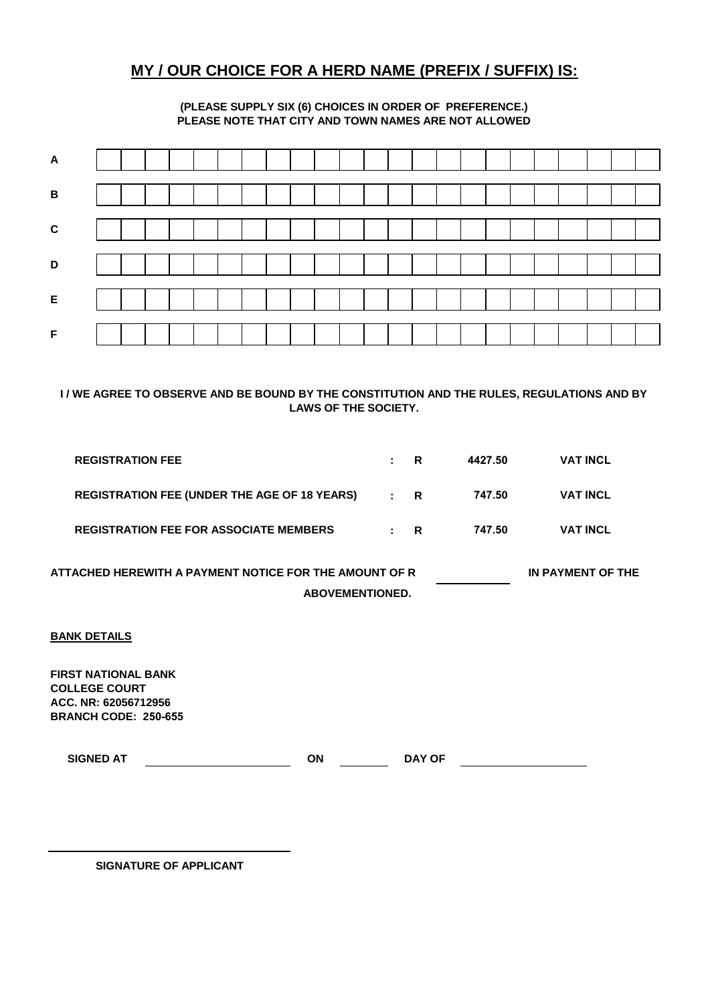### **MY / OUR CHOICE FOR A HERD NAME (PREFIX / SUFFIX) IS:**

#### **(PLEASE SUPPLY SIX (6) CHOICES IN ORDER OF PREFERENCE.) PLEASE NOTE THAT CITY AND TOWN NAMES ARE NOT ALLOWED**

| $\mathbf B$ |  |  |  |  |  |  |  |  |  |  |  |  |
|-------------|--|--|--|--|--|--|--|--|--|--|--|--|
|             |  |  |  |  |  |  |  |  |  |  |  |  |
|             |  |  |  |  |  |  |  |  |  |  |  |  |
|             |  |  |  |  |  |  |  |  |  |  |  |  |
|             |  |  |  |  |  |  |  |  |  |  |  |  |

**I / WE AGREE TO OBSERVE AND BE BOUND BY THE CONSTITUTION AND THE RULES, REGULATIONS AND BY LAWS OF THE SOCIETY.**

| <b>REGISTRATION FEE</b>                             | $\mathbf{R}$ |              | 4427.50 | <b>VAT INCL</b> |
|-----------------------------------------------------|--------------|--------------|---------|-----------------|
| <b>REGISTRATION FEE (UNDER THE AGE OF 18 YEARS)</b> | $\mathbf{R}$ |              | 747.50  | <b>VAT INCL</b> |
| <b>REGISTRATION FEE FOR ASSOCIATE MEMBERS</b>       |              | $\mathbf{R}$ | 747.50  | <b>VAT INCL</b> |

 **ABOVEMENTIONED. ATTACHED HEREWITH A PAYMENT NOTICE FOR THE AMOUNT OF R IN PAYMENT OF THE** 

#### **BANK DETAILS**

**FIRST NATIONAL BANK COLLEGE COURT ACC. NR: 62056712956 BRANCH CODE: 250-655**

**SIGNED AT ON DAY OF**

**SIGNATURE OF APPLICANT**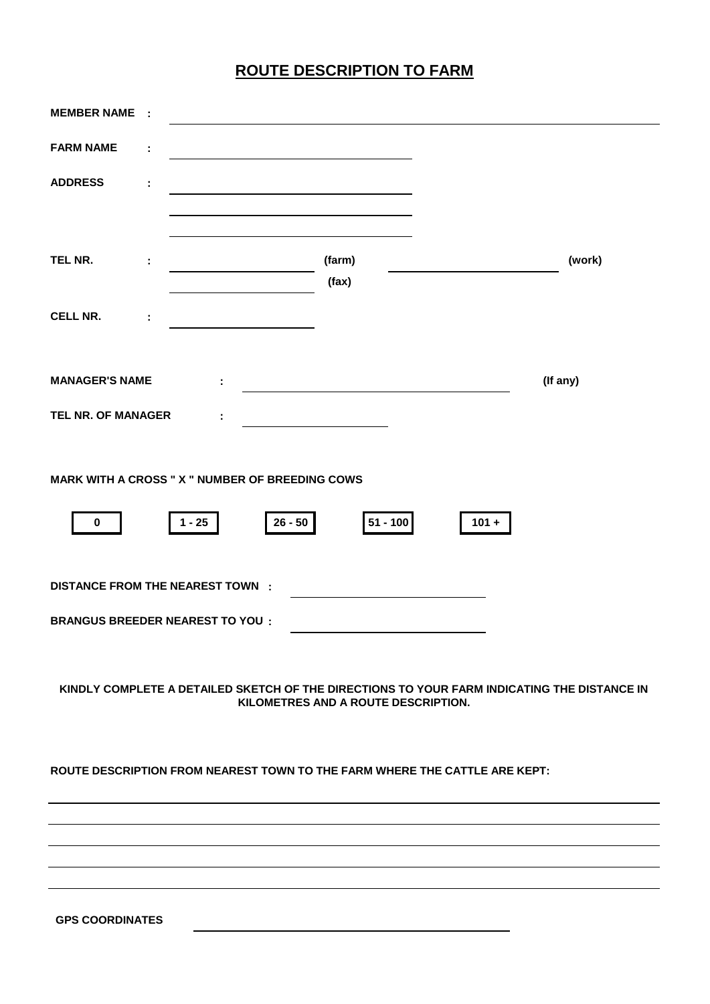# **ROUTE DESCRIPTION TO FARM**

| <b>MEMBER NAME</b>                                                         | $\cdot$ : |          |           |                                     |         |                                                                                             |
|----------------------------------------------------------------------------|-----------|----------|-----------|-------------------------------------|---------|---------------------------------------------------------------------------------------------|
| <b>FARM NAME</b>                                                           | ÷         |          |           |                                     |         |                                                                                             |
| <b>ADDRESS</b>                                                             | ÷         |          |           |                                     |         |                                                                                             |
|                                                                            |           |          |           |                                     |         |                                                                                             |
| TEL NR.                                                                    | ÷         |          |           | (farm)<br>(fax)                     |         | (work)                                                                                      |
| <b>CELL NR.</b>                                                            | ÷         |          |           |                                     |         |                                                                                             |
|                                                                            |           |          |           |                                     |         |                                                                                             |
| <b>MANAGER'S NAME</b>                                                      |           | ÷.       |           |                                     |         | (If any)                                                                                    |
| TEL NR. OF MANAGER                                                         |           | ÷        |           |                                     |         |                                                                                             |
| <b>MARK WITH A CROSS " X " NUMBER OF BREEDING COWS</b>                     |           |          |           |                                     |         |                                                                                             |
|                                                                            |           |          |           |                                     |         |                                                                                             |
| $\pmb{0}$                                                                  |           | $1 - 25$ | $26 - 50$ | 51 - 100                            | $101 +$ |                                                                                             |
| <b>DISTANCE FROM THE NEAREST TOWN :</b>                                    |           |          |           |                                     |         |                                                                                             |
| <b>BRANGUS BREEDER NEAREST TO YOU:</b>                                     |           |          |           |                                     |         |                                                                                             |
|                                                                            |           |          |           |                                     |         |                                                                                             |
|                                                                            |           |          |           | KILOMETRES AND A ROUTE DESCRIPTION. |         | KINDLY COMPLETE A DETAILED SKETCH OF THE DIRECTIONS TO YOUR FARM INDICATING THE DISTANCE IN |
| ROUTE DESCRIPTION FROM NEAREST TOWN TO THE FARM WHERE THE CATTLE ARE KEPT: |           |          |           |                                     |         |                                                                                             |
|                                                                            |           |          |           |                                     |         |                                                                                             |
|                                                                            |           |          |           |                                     |         |                                                                                             |
|                                                                            |           |          |           |                                     |         |                                                                                             |
|                                                                            |           |          |           |                                     |         |                                                                                             |
|                                                                            |           |          |           |                                     |         |                                                                                             |

**GPS COORDINATES**